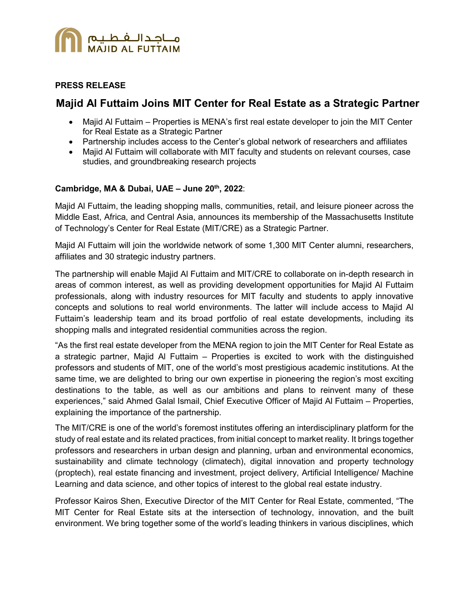

### **PRESS RELEASE**

# **Majid Al Futtaim Joins MIT Center for Real Estate as a Strategic Partner**

- Majid Al Futtaim Properties is MENA's first real estate developer to join the MIT Center for Real Estate as a Strategic Partner
- Partnership includes access to the Center's global network of researchers and affiliates
- Majid Al Futtaim will collaborate with MIT faculty and students on relevant courses, case studies, and groundbreaking research projects

# **Cambridge, MA & Dubai, UAE – June 20th, 2022**:

Majid Al Futtaim, the leading shopping malls, communities, retail, and leisure pioneer across the Middle East, Africa, and Central Asia, announces its membership of the Massachusetts Institute of Technology's Center for Real Estate (MIT/CRE) as a Strategic Partner.

Majid Al Futtaim will join the worldwide network of some 1,300 MIT Center alumni, researchers, affiliates and 30 strategic industry partners.

The partnership will enable Majid Al Futtaim and MIT/CRE to collaborate on in-depth research in areas of common interest, as well as providing development opportunities for Majid Al Futtaim professionals, along with industry resources for MIT faculty and students to apply innovative concepts and solutions to real world environments. The latter will include access to Majid Al Futtaim's leadership team and its broad portfolio of real estate developments, including its shopping malls and integrated residential communities across the region.

"As the first real estate developer from the MENA region to join the MIT Center for Real Estate as a strategic partner, Majid Al Futtaim – Properties is excited to work with the distinguished professors and students of MIT, one of the world's most prestigious academic institutions. At the same time, we are delighted to bring our own expertise in pioneering the region's most exciting destinations to the table, as well as our ambitions and plans to reinvent many of these experiences," said Ahmed Galal Ismail, Chief Executive Officer of Majid Al Futtaim – Properties, explaining the importance of the partnership.

The MIT/CRE is one of the world's foremost institutes offering an interdisciplinary platform for the study of real estate and its related practices, from initial concept to market reality. It brings together professors and researchers in urban design and planning, urban and environmental economics, sustainability and climate technology (climatech), digital innovation and property technology (proptech), real estate financing and investment, project delivery, Artificial Intelligence/ Machine Learning and data science, and other topics of interest to the global real estate industry.

Professor Kairos Shen, Executive Director of the MIT Center for Real Estate, commented, "The MIT Center for Real Estate sits at the intersection of technology, innovation, and the built environment. We bring together some of the world's leading thinkers in various disciplines, which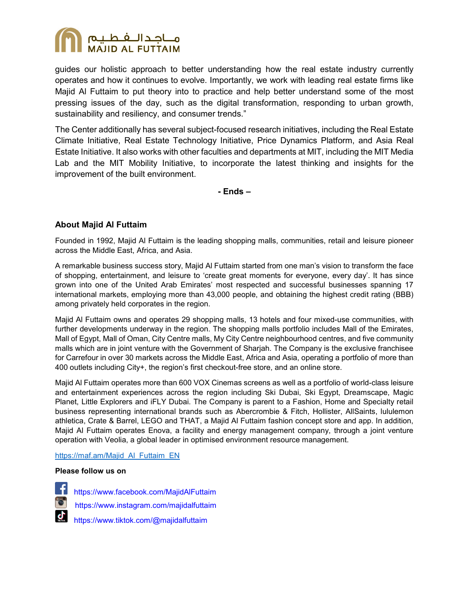

guides our holistic approach to better understanding how the real estate industry currently operates and how it continues to evolve. Importantly, we work with leading real estate firms like Majid Al Futtaim to put theory into to practice and help better understand some of the most pressing issues of the day, such as the digital transformation, responding to urban growth, sustainability and resiliency, and consumer trends."

The Center additionally has several subject-focused research initiatives, including the Real Estate Climate Initiative, Real Estate Technology Initiative, Price Dynamics Platform, and Asia Real Estate Initiative. It also works with other faculties and departments at MIT, including the MIT Media Lab and the MIT Mobility Initiative, to incorporate the latest thinking and insights for the improvement of the built environment.

**- Ends –** 

# **About Majid Al Futtaim**

Founded in 1992, Majid Al Futtaim is the leading shopping malls, communities, retail and leisure pioneer across the Middle East, Africa, and Asia.

A remarkable business success story, Majid Al Futtaim started from one man's vision to transform the face of shopping, entertainment, and leisure to 'create great moments for everyone, every day'. It has since grown into one of the United Arab Emirates' most respected and successful businesses spanning 17 international markets, employing more than 43,000 people, and obtaining the highest credit rating (BBB) among privately held corporates in the region.

Majid Al Futtaim owns and operates 29 shopping malls, 13 hotels and four mixed-use communities, with further developments underway in the region. The shopping malls portfolio includes Mall of the Emirates, Mall of Egypt, Mall of Oman, City Centre malls, My City Centre neighbourhood centres, and five community malls which are in joint venture with the Government of Sharjah. The Company is the exclusive franchisee for Carrefour in over 30 markets across the Middle East, Africa and Asia, operating a portfolio of more than 400 outlets including City+, the region's first checkout-free store, and an online store.

Majid Al Futtaim operates more than 600 VOX Cinemas screens as well as a portfolio of world-class leisure and entertainment experiences across the region including Ski Dubai, Ski Egypt, Dreamscape, Magic Planet, Little Explorers and iFLY Dubai. The Company is parent to a Fashion, Home and Specialty retail business representing international brands such as Abercrombie & Fitch, Hollister, AllSaints, lululemon athletica, Crate & Barrel, LEGO and THAT, a Majid Al Futtaim fashion concept store and app. In addition, Majid Al Futtaim operates Enova, a facility and energy management company, through a joint venture operation with Veolia, a global leader in optimised environment resource management.

#### [https://maf.am/Majid\\_Al\\_Futtaim\\_EN](https://maf.am/Majid_Al_Futtaim_EN)

#### **Please follow us on**

 <https://www.facebook.com/MajidAlFuttaim> <https://www.instagram.com/majidalfuttaim> <https://www.tiktok.com/@majidalfuttaim>